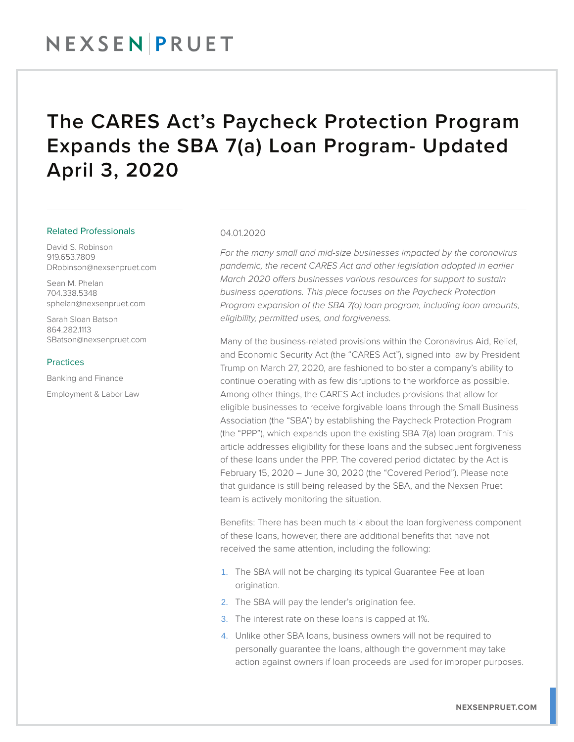### The CARES Act's Paycheck Protection Program Expands the SBA 7(a) Loan Program- Updated April 3, 2020

#### Related Professionals

David S. Robinson 919.653.7809 DRobinson@nexsenpruet.com

Sean M. Phelan 704.338.5348 sphelan@nexsenpruet.com

Sarah Sloan Batson 864.282.1113 SBatson@nexsenpruet.com

#### Practices

Banking and Finance Employment & Labor Law

#### 04.01.2020

*For the many small and mid-size businesses impacted by the coronavirus pandemic, the recent CARES Act and other legislation adopted in earlier March 2020 offers businesses various resources for support to sustain business operations. This piece focuses on the Paycheck Protection Program expansion of the SBA 7(a) loan program, including loan amounts, eligibility, permitted uses, and forgiveness.*

Many of the business-related provisions within the Coronavirus Aid, Relief, and Economic Security Act (the "CARES Act"), signed into law by President Trump on March 27, 2020, are fashioned to bolster a company's ability to continue operating with as few disruptions to the workforce as possible. Among other things, the CARES Act includes provisions that allow for eligible businesses to receive forgivable loans through the Small Business Association (the "SBA") by establishing the Paycheck Protection Program (the "PPP"), which expands upon the existing SBA 7(a) loan program. This article addresses eligibility for these loans and the subsequent forgiveness of these loans under the PPP. The covered period dictated by the Act is February 15, 2020 – June 30, 2020 (the "Covered Period"). Please note that guidance is still being released by the SBA, and the Nexsen Pruet team is actively monitoring the situation.

Benefits: There has been much talk about the loan forgiveness component of these loans, however, there are additional benefits that have not received the same attention, including the following:

- 1. The SBA will not be charging its typical Guarantee Fee at loan origination.
- 2. The SBA will pay the lender's origination fee.
- 3. The interest rate on these loans is capped at 1%.
- 4. Unlike other SBA loans, business owners will not be required to personally guarantee the loans, although the government may take action against owners if loan proceeds are used for improper purposes.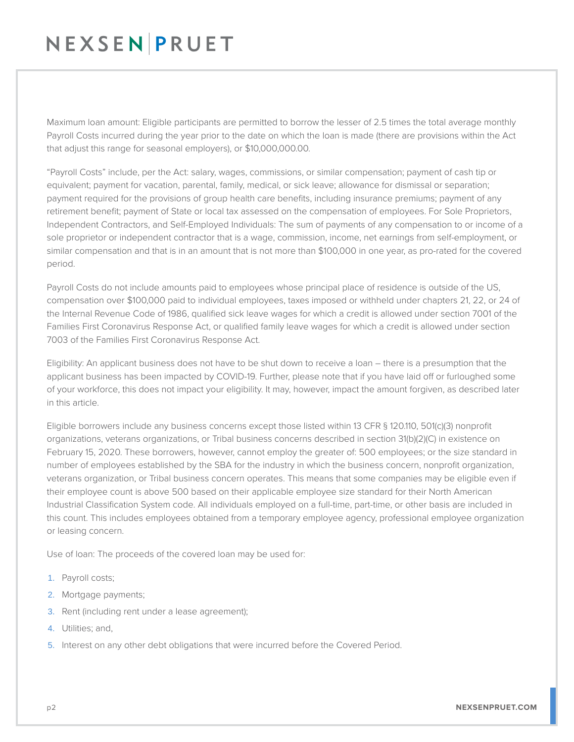## NEXSENPRUET

Maximum loan amount: Eligible participants are permitted to borrow the lesser of 2.5 times the total average monthly Payroll Costs incurred during the year prior to the date on which the loan is made (there are provisions within the Act that adjust this range for seasonal employers), or \$10,000,000.00.

"Payroll Costs" include, per the Act: salary, wages, commissions, or similar compensation; payment of cash tip or equivalent; payment for vacation, parental, family, medical, or sick leave; allowance for dismissal or separation; payment required for the provisions of group health care benefits, including insurance premiums; payment of any retirement benefit; payment of State or local tax assessed on the compensation of employees. For Sole Proprietors, Independent Contractors, and Self-Employed Individuals: The sum of payments of any compensation to or income of a sole proprietor or independent contractor that is a wage, commission, income, net earnings from self-employment, or similar compensation and that is in an amount that is not more than \$100,000 in one year, as pro-rated for the covered period.

Payroll Costs do not include amounts paid to employees whose principal place of residence is outside of the US, compensation over \$100,000 paid to individual employees, taxes imposed or withheld under chapters 21, 22, or 24 of the Internal Revenue Code of 1986, qualified sick leave wages for which a credit is allowed under section 7001 of the Families First Coronavirus Response Act, or qualified family leave wages for which a credit is allowed under section 7003 of the Families First Coronavirus Response Act.

Eligibility: An applicant business does not have to be shut down to receive a loan – there is a presumption that the applicant business has been impacted by COVID-19. Further, please note that if you have laid off or furloughed some of your workforce, this does not impact your eligibility. It may, however, impact the amount forgiven, as described later in this article.

Eligible borrowers include any business concerns except those listed within 13 CFR § 120.110, 501(c)(3) nonprofit organizations, veterans organizations, or Tribal business concerns described in section 31(b)(2)(C) in existence on February 15, 2020. These borrowers, however, cannot employ the greater of: 500 employees; or the size standard in number of employees established by the SBA for the industry in which the business concern, nonprofit organization, veterans organization, or Tribal business concern operates. This means that some companies may be eligible even if their employee count is above 500 based on their applicable employee size standard for their North American Industrial Classification System code. All individuals employed on a full-time, part-time, or other basis are included in this count. This includes employees obtained from a temporary employee agency, professional employee organization or leasing concern.

Use of loan: The proceeds of the covered loan may be used for:

- 1. Payroll costs;
- 2. Mortgage payments;
- 3. Rent (including rent under a lease agreement);
- 4. Utilities; and,
- 5. Interest on any other debt obligations that were incurred before the Covered Period.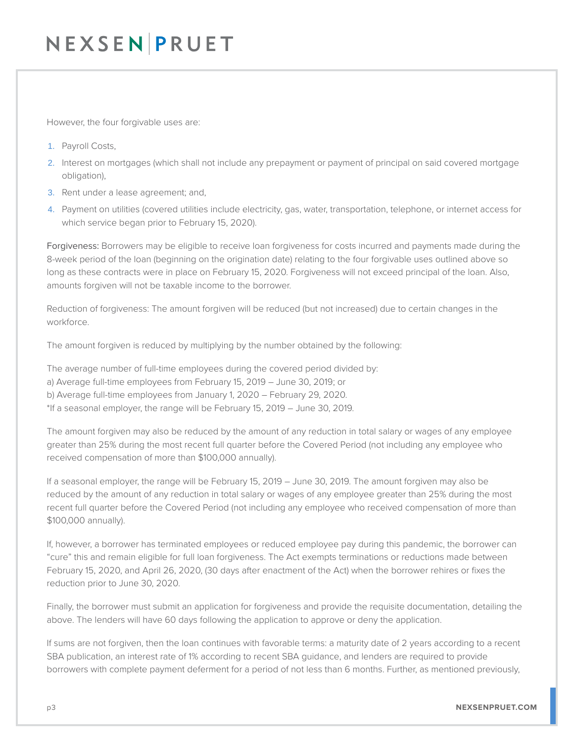## NEXSEN PRUET

However, the four forgivable uses are:

- 1. Payroll Costs,
- 2. Interest on mortgages (which shall not include any prepayment or payment of principal on said covered mortgage obligation),
- 3. Rent under a lease agreement; and,
- 4. Payment on utilities (covered utilities include electricity, gas, water, transportation, telephone, or internet access for which service began prior to February 15, 2020).

Forgiveness: Borrowers may be eligible to receive loan forgiveness for costs incurred and payments made during the 8-week period of the loan (beginning on the origination date) relating to the four forgivable uses outlined above so long as these contracts were in place on February 15, 2020. Forgiveness will not exceed principal of the loan. Also, amounts forgiven will not be taxable income to the borrower.

Reduction of forgiveness: The amount forgiven will be reduced (but not increased) due to certain changes in the workforce.

The amount forgiven is reduced by multiplying by the number obtained by the following:

The average number of full-time employees during the covered period divided by:

- a) Average full-time employees from February 15, 2019 June 30, 2019; or
- b) Average full-time employees from January 1, 2020 February 29, 2020.
- \*If a seasonal employer, the range will be February 15, 2019 June 30, 2019.

The amount forgiven may also be reduced by the amount of any reduction in total salary or wages of any employee greater than 25% during the most recent full quarter before the Covered Period (not including any employee who received compensation of more than \$100,000 annually).

If a seasonal employer, the range will be February 15, 2019 – June 30, 2019. The amount forgiven may also be reduced by the amount of any reduction in total salary or wages of any employee greater than 25% during the most recent full quarter before the Covered Period (not including any employee who received compensation of more than \$100,000 annually).

If, however, a borrower has terminated employees or reduced employee pay during this pandemic, the borrower can "cure" this and remain eligible for full loan forgiveness. The Act exempts terminations or reductions made between February 15, 2020, and April 26, 2020, (30 days after enactment of the Act) when the borrower rehires or fixes the reduction prior to June 30, 2020.

Finally, the borrower must submit an application for forgiveness and provide the requisite documentation, detailing the above. The lenders will have 60 days following the application to approve or deny the application.

If sums are not forgiven, then the loan continues with favorable terms: a maturity date of 2 years according to a recent SBA publication, an interest rate of 1% according to recent SBA guidance, and lenders are required to provide borrowers with complete payment deferment for a period of not less than 6 months. Further, as mentioned previously,